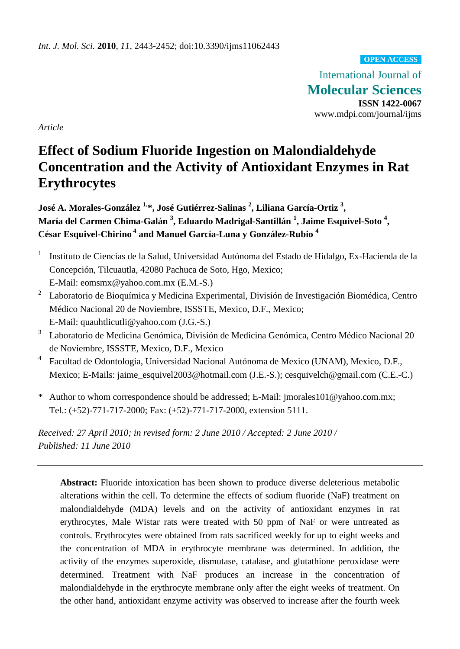**OPEN ACCESS**

International Journal of **Molecular Sciences ISSN 1422-0067** www.mdpi.com/journal/ijms

*Article*

# **Effect of Sodium Fluoride Ingestion on Malondialdehyde Concentration and the Activity of Antioxidant Enzymes in Rat Erythrocytes**

**José A. Morales-González 1,\*, José Gutiérrez-Salinas 2 , Liliana García-Ortiz <sup>3</sup> , María del Carmen Chima-Galán <sup>3</sup> , Eduardo Madrigal-Santillán 1 , Jaime Esquivel-Soto 4 , César Esquivel-Chirino <sup>4</sup> and Manuel García-Luna y González-Rubio <sup>4</sup>**

- <sup>1</sup> Instituto de Ciencias de la Salud, Universidad Autónoma del Estado de Hidalgo, Ex-Hacienda de la Concepción, Tilcuautla, 42080 Pachuca de Soto, Hgo, Mexico; E-Mail: eomsmx@yahoo.com.mx (E.M.-S.)
- <sup>2</sup> Laboratorio de Bioquímica y Medicina Experimental, División de Investigación Biomédica, Centro Médico Nacional 20 de Noviembre, ISSSTE, Mexico, D.F., Mexico; E-Mail: quauhtlicutli@yahoo.com (J.G.-S.)
- <sup>3</sup> Laboratorio de Medicina Genómica, División de Medicina Genómica, Centro Médico Nacional 20 de Noviembre, ISSSTE, Mexico, D.F., Mexico
- <sup>4</sup> Facultad de Odontologia, Universidad Nacional Autónoma de Mexico (UNAM), Mexico, D.F., Mexico; E-Mails: jaime\_esquivel2003@hotmail.com (J.E.-S.); cesquivelch@gmail.com (C.E.-C.)
- \* Author to whom correspondence should be addressed; E-Mail: jmorales101@yahoo.com.mx; Tel.: (+52)-771-717-2000; Fax: (+52)-771-717-2000, extension 5111.

*Received: 27 April 2010; in revised form: 2 June 2010 / Accepted: 2 June 2010 / Published: 11 June 2010*

**Abstract:** Fluoride intoxication has been shown to produce diverse deleterious metabolic alterations within the cell. To determine the effects of sodium fluoride (NaF) treatment on malondialdehyde (MDA) levels and on the activity of antioxidant enzymes in rat erythrocytes, Male Wistar rats were treated with 50 ppm of NaF or were untreated as controls. Erythrocytes were obtained from rats sacrificed weekly for up to eight weeks and the concentration of MDA in erythrocyte membrane was determined. In addition, the activity of the enzymes superoxide, dismutase, catalase, and glutathione peroxidase were determined. Treatment with NaF produces an increase in the concentration of malondialdehyde in the erythrocyte membrane only after the eight weeks of treatment. On the other hand, antioxidant enzyme activity was observed to increase after the fourth week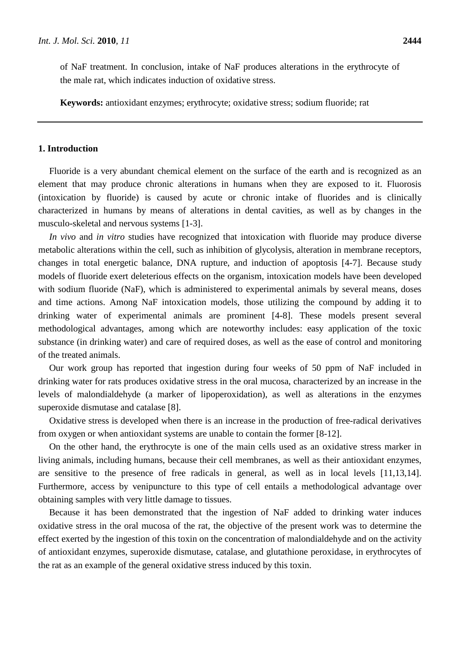of NaF treatment. In conclusion, intake of NaF produces alterations in the erythrocyte of the male rat, which indicates induction of oxidative stress.

**Keywords:** antioxidant enzymes; erythrocyte; oxidative stress; sodium fluoride; rat

# **1. Introduction**

Fluoride is a very abundant chemical element on the surface of the earth and is recognized as an element that may produce chronic alterations in humans when they are exposed to it. Fluorosis (intoxication by fluoride) is caused by acute or chronic intake of fluorides and is clinically characterized in humans by means of alterations in dental cavities, as well as by changes in the musculo-skeletal and nervous systems [1-3].

*In vivo* and *in vitro* studies have recognized that intoxication with fluoride may produce diverse metabolic alterations within the cell, such as inhibition of glycolysis, alteration in membrane receptors, changes in total energetic balance, DNA rupture, and induction of apoptosis [4-7]. Because study models of fluoride exert deleterious effects on the organism, intoxication models have been developed with sodium fluoride (NaF), which is administered to experimental animals by several means, doses and time actions. Among NaF intoxication models, those utilizing the compound by adding it to drinking water of experimental animals are prominent [4-8]. These models present several methodological advantages, among which are noteworthy includes: easy application of the toxic substance (in drinking water) and care of required doses, as well as the ease of control and monitoring of the treated animals.

Our work group has reported that ingestion during four weeks of 50 ppm of NaF included in drinking water for rats produces oxidative stress in the oral mucosa, characterized by an increase in the levels of malondialdehyde (a marker of lipoperoxidation), as well as alterations in the enzymes superoxide dismutase and catalase [8].

Oxidative stress is developed when there is an increase in the production of free-radical derivatives from oxygen or when antioxidant systems are unable to contain the former [8-12].

On the other hand, the erythrocyte is one of the main cells used as an oxidative stress marker in living animals, including humans, because their cell membranes, as well as their antioxidant enzymes, are sensitive to the presence of free radicals in general, as well as in local levels [11,13,14]. Furthermore, access by venipuncture to this type of cell entails a methodological advantage over obtaining samples with very little damage to tissues.

Because it has been demonstrated that the ingestion of NaF added to drinking water induces oxidative stress in the oral mucosa of the rat, the objective of the present work was to determine the effect exerted by the ingestion of this toxin on the concentration of malondialdehyde and on the activity of antioxidant enzymes, superoxide dismutase, catalase, and glutathione peroxidase, in erythrocytes of the rat as an example of the general oxidative stress induced by this toxin.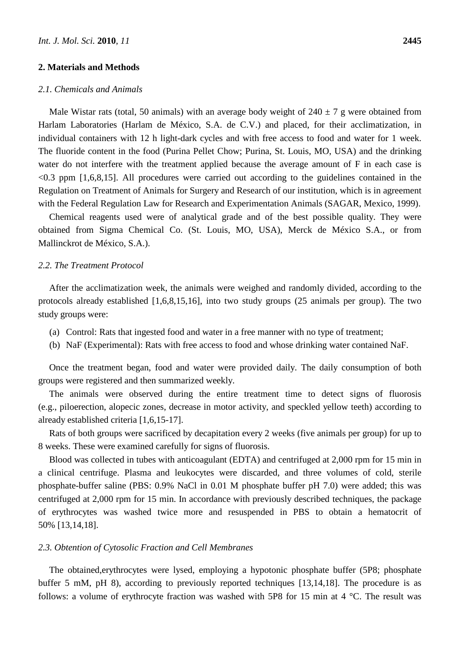#### **2. Materials and Methods**

#### *2.1. Chemicals and Animals*

Male Wistar rats (total, 50 animals) with an average body weight of  $240 \pm 7$  g were obtained from Harlam Laboratories (Harlam de México, S.A. de C.V.) and placed, for their acclimatization, in individual containers with 12 h light-dark cycles and with free access to food and water for 1 week. The fluoride content in the food (Purina Pellet Chow; Purina, St. Louis, MO, USA) and the drinking water do not interfere with the treatment applied because the average amount of F in each case is  $\leq 0.3$  ppm [1,6,8,15]. All procedures were carried out according to the guidelines contained in the Regulation on Treatment of Animals for Surgery and Research of our institution, which is in agreement with the Federal Regulation Law for Research and Experimentation Animals (SAGAR, Mexico, 1999).

Chemical reagents used were of analytical grade and of the best possible quality. They were obtained from Sigma Chemical Co. (St. Louis, MO, USA), Merck de México S.A., or from Mallinckrot de México, S.A.).

#### *2.2. The Treatment Protocol*

After the acclimatization week, the animals were weighed and randomly divided, according to the protocols already established [1,6,8,15,16], into two study groups (25 animals per group). The two study groups were:

- (a) Control: Rats that ingested food and water in a free manner with no type of treatment;
- (b) NaF (Experimental): Rats with free access to food and whose drinking water contained NaF.

Once the treatment began, food and water were provided daily. The daily consumption of both groups were registered and then summarized weekly.

The animals were observed during the entire treatment time to detect signs of fluorosis (e.g., piloerection, alopecic zones, decrease in motor activity, and speckled yellow teeth) according to already established criteria [1,6,15-17].

Rats of both groups were sacrificed by decapitation every 2 weeks (five animals per group) for up to 8 weeks. These were examined carefully for signs of fluorosis.

Blood was collected in tubes with anticoagulant (EDTA) and centrifuged at 2,000 rpm for 15 min in a clinical centrifuge. Plasma and leukocytes were discarded, and three volumes of cold, sterile phosphate-buffer saline (PBS: 0.9% NaCl in 0.01 M phosphate buffer pH 7.0) were added; this was centrifuged at 2,000 rpm for 15 min. In accordance with previously described techniques, the package of erythrocytes was washed twice more and resuspended in PBS to obtain a hematocrit of 50% [13,14,18].

### *2.3. Obtention of Cytosolic Fraction and Cell Membranes*

The obtained,erythrocytes were lysed, employing a hypotonic phosphate buffer (5P8; phosphate buffer 5 mM, pH 8), according to previously reported techniques [13,14,18]. The procedure is as follows: a volume of erythrocyte fraction was washed with 5P8 for 15 min at 4 °C. The result was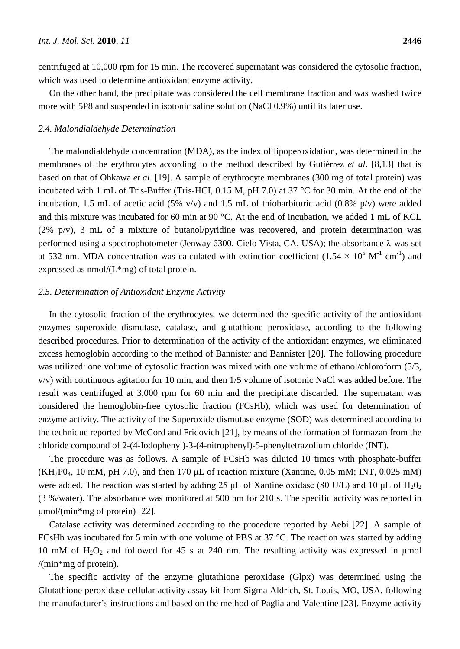centrifuged at 10,000 rpm for 15 min. The recovered supernatant was considered the cytosolic fraction, which was used to determine antioxidant enzyme activity.

On the other hand, the precipitate was considered the cell membrane fraction and was washed twice more with 5P8 and suspended in isotonic saline solution (NaCl 0.9%) until its later use.

#### *2.4. Malondialdehyde Determination*

The malondialdehyde concentration (MDA), as the index of lipoperoxidation, was determined in the membranes of the erythrocytes according to the method described by Gutiérrez *et al*. [8,13] that is based on that of Ohkawa *et al*. [19]. A sample of erythrocyte membranes (300 mg of total protein) was incubated with 1 mL of Tris-Buffer (Tris-HCI, 0.15 M, pH 7.0) at 37 °C for 30 min. At the end of the incubation, 1.5 mL of acetic acid (5% v/v) and 1.5 mL of thiobarbituric acid (0.8% p/v) were added and this mixture was incubated for 60 min at 90 °C. At the end of incubation, we added 1 mL of KCL (2%  $p/v$ ), 3 mL of a mixture of butanol/pyridine was recovered, and protein determination was performed using a spectrophotometer (Jenway 6300, Cielo Vista, CA, USA); the absorbance λ was set at 532 nm. MDA concentration was calculated with extinction coefficient  $(1.54 \times 10^5 \text{ M}^{-1} \text{ cm}^{-1})$  and expressed as nmol/(L\*mg) of total protein.

## *2.5. Determination of Antioxidant Enzyme Activity*

In the cytosolic fraction of the erythrocytes, we determined the specific activity of the antioxidant enzymes superoxide dismutase, catalase, and glutathione peroxidase, according to the following described procedures. Prior to determination of the activity of the antioxidant enzymes, we eliminated excess hemoglobin according to the method of Bannister and Bannister [20]. The following procedure was utilized: one volume of cytosolic fraction was mixed with one volume of ethanol/chloroform (5/3, v/v) with continuous agitation for 10 min, and then 1/5 volume of isotonic NaCl was added before. The result was centrifuged at 3,000 rpm for 60 min and the precipitate discarded. The supernatant was considered the hemoglobin-free cytosolic fraction (FCsHb), which was used for determination of enzyme activity. The activity of the Superoxide dismutase enzyme (SOD) was determined according to the technique reported by McCord and Fridovich [21], by means of the formation of formazan from the chloride compound of 2-(4-Iodophenyl)-3-(4-nitrophenyl)-5-phenyltetrazolium chloride (INT).

The procedure was as follows. A sample of FCsHb was diluted 10 times with phosphate-buffer  $(KH<sub>2</sub>P0<sub>4</sub>, 10$  mM, pH 7.0), and then 170  $\mu$ L of reaction mixture (Xantine, 0.05 mM; INT, 0.025 mM) were added. The reaction was started by adding 25  $\mu$ L of Xantine oxidase (80 U/L) and 10  $\mu$ L of H<sub>2</sub>O<sub>2</sub> (3 %/water). The absorbance was monitored at 500 nm for 210 s. The specific activity was reported in μmol/(min\*mg of protein) [22].

Catalase activity was determined according to the procedure reported by Aebi [22]. A sample of FCsHb was incubated for 5 min with one volume of PBS at 37 °C. The reaction was started by adding 10 mM of  $H_2O_2$  and followed for 45 s at 240 nm. The resulting activity was expressed in µmol  $/$ (min\*mg of protein).

The specific activity of the enzyme glutathione peroxidase (Glpx) was determined using the Glutathione peroxidase cellular activity assay kit from Sigma Aldrich, St. Louis, MO, USA, following the manufacturer's instructions and based on the method of Paglia and Valentine [23]. Enzyme activity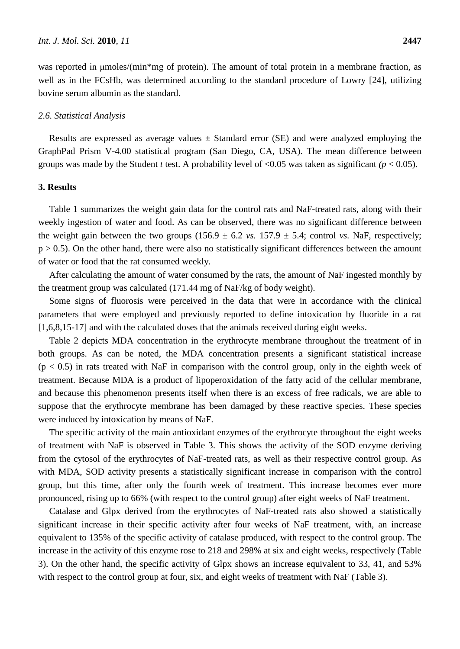was reported in μmoles/(min\*mg of protein). The amount of total protein in a membrane fraction, as well as in the FCsHb, was determined according to the standard procedure of Lowry [24], utilizing bovine serum albumin as the standard.

## *2.6. Statistical Analysis*

Results are expressed as average values  $\pm$  Standard error (SE) and were analyzed employing the GraphPad Prism V-4.00 statistical program (San Diego, CA, USA). The mean difference between groups was made by the Student *t* test. A probability level of  $\langle 0.05 \rangle$  was taken as significant ( $p \langle 0.05 \rangle$ ).

### **3. Results**

Table 1 summarizes the weight gain data for the control rats and NaF-treated rats, along with their weekly ingestion of water and food. As can be observed, there was no significant difference between the weight gain between the two groups  $(156.9 \pm 6.2 \text{ vs. } 157.9 \pm 5.4; \text{ control vs. NaF, respectively};$  $p > 0.5$ ). On the other hand, there were also no statistically significant differences between the amount of water or food that the rat consumed weekly.

After calculating the amount of water consumed by the rats, the amount of NaF ingested monthly by the treatment group was calculated (171.44 mg of NaF/kg of body weight).

Some signs of fluorosis were perceived in the data that were in accordance with the clinical parameters that were employed and previously reported to define intoxication by fluoride in a rat [1,6,8,15-17] and with the calculated doses that the animals received during eight weeks.

Table 2 depicts MDA concentration in the erythrocyte membrane throughout the treatment of in both groups. As can be noted, the MDA concentration presents a significant statistical increase  $(p < 0.5)$  in rats treated with NaF in comparison with the control group, only in the eighth week of treatment. Because MDA is a product of lipoperoxidation of the fatty acid of the cellular membrane, and because this phenomenon presents itself when there is an excess of free radicals, we are able to suppose that the erythrocyte membrane has been damaged by these reactive species. These species were induced by intoxication by means of NaF.

The specific activity of the main antioxidant enzymes of the erythrocyte throughout the eight weeks of treatment with NaF is observed in Table 3. This shows the activity of the SOD enzyme deriving from the cytosol of the erythrocytes of NaF-treated rats, as well as their respective control group. As with MDA, SOD activity presents a statistically significant increase in comparison with the control group, but this time, after only the fourth week of treatment. This increase becomes ever more pronounced, rising up to 66% (with respect to the control group) after eight weeks of NaF treatment.

Catalase and Glpx derived from the erythrocytes of NaF-treated rats also showed a statistically significant increase in their specific activity after four weeks of NaF treatment, with, an increase equivalent to 135% of the specific activity of catalase produced, with respect to the control group. The increase in the activity of this enzyme rose to 218 and 298% at six and eight weeks, respectively (Table 3). On the other hand, the specific activity of Glpx shows an increase equivalent to 33, 41, and 53% with respect to the control group at four, six, and eight weeks of treatment with NaF (Table 3).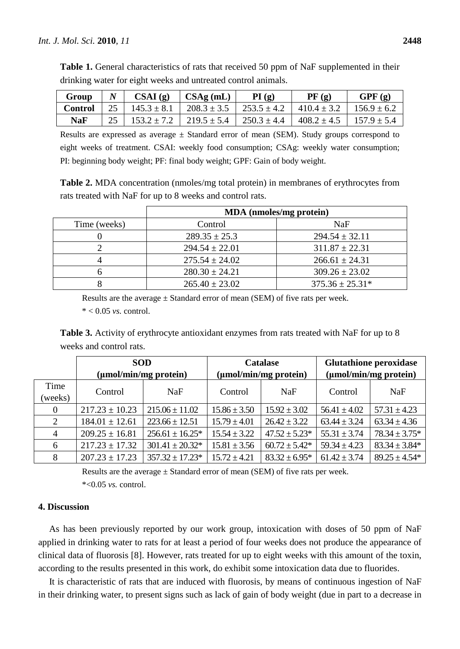**Table 1.** General characteristics of rats that received 50 ppm of NaF supplemented in their drinking water for eight weeks and untreated control animals.

| Group          | CSAI(g) | $\overline{\text{CSAg (mL)}}$                                                           | PI(g) | PF(g)                             | GPF(g) |
|----------------|---------|-----------------------------------------------------------------------------------------|-------|-----------------------------------|--------|
| <b>Control</b> |         | $145.3 \pm 8.1$   208.3 $\pm 3.5$   253.5 $\pm 4.2$   410.4 $\pm 3.2$   156.9 $\pm 6.2$ |       |                                   |        |
| NaF            |         | $153.2 \pm 7.2$   $219.5 \pm 5.4$   $250.3 \pm 4.4$                                     |       | $408.2 \pm 4.5$   $157.9 \pm 5.4$ |        |

Results are expressed as average ± Standard error of mean (SEM). Study groups correspond to eight weeks of treatment. CSAI: weekly food consumption; CSAg: weekly water consumption; PI: beginning body weight; PF: final body weight; GPF: Gain of body weight.

**Table 2.** MDA concentration (nmoles/mg total protein) in membranes of erythrocytes from rats treated with NaF for up to 8 weeks and control rats.

|              | <b>MDA</b> (nmoles/mg protein) |                     |  |  |
|--------------|--------------------------------|---------------------|--|--|
| Time (weeks) | Control                        | NaF                 |  |  |
|              | $289.35 \pm 25.3$              | $294.54 \pm 32.11$  |  |  |
|              | $294.54 \pm 22.01$             | $311.87 \pm 22.31$  |  |  |
|              | $275.54 \pm 24.02$             | $266.61 \pm 24.31$  |  |  |
|              | $280.30 \pm 24.21$             | $309.26 \pm 23.02$  |  |  |
|              | $265.40 \pm 23.02$             | $375.36 \pm 25.31*$ |  |  |

Results are the average  $\pm$  Standard error of mean (SEM) of five rats per week.

 $* < 0.05$  *vs.* control.

**Table 3.** Activity of erythrocyte antioxidant enzymes from rats treated with NaF for up to 8 weeks and control rats.

|                 | <b>SOD</b>         |                       | <b>Catalase</b><br>$(\mu$ mol/min/mg protein) |                    | <b>Glutathione peroxidase</b><br>$(\mu$ mol/min/mg protein) |                    |
|-----------------|--------------------|-----------------------|-----------------------------------------------|--------------------|-------------------------------------------------------------|--------------------|
|                 |                    | (µmol/min/mg protein) |                                               |                    |                                                             |                    |
| Time<br>(weeks) | Control            | <b>NaF</b>            | Control                                       | <b>NaF</b>         | Control                                                     | <b>NaF</b>         |
| $\theta$        | $217.23 \pm 10.23$ | $215.06 \pm 11.02$    | $15.86 \pm 3.50$                              | $15.92 \pm 3.02$   | $56.41 \pm 4.02$                                            | $57.31 \pm 4.23$   |
| 2               | $184.01 \pm 12.61$ | $223.66 \pm 12.51$    | $15.79 \pm 4.01$                              | $26.42 \pm 3.22$   | $63.44 \pm 3.24$                                            | $63.34 \pm 4.36$   |
| $\overline{4}$  | $209.25 \pm 16.81$ | $256.61 \pm 16.25^*$  | $15.54 \pm 3.22$                              | $47.52 \pm 5.23*$  | $55.31 \pm 3.74$                                            | $78.34 \pm 3.75^*$ |
| 6               | $217.23 \pm 17.32$ | $301.41 \pm 20.32^*$  | $15.81 \pm 3.56$                              | $60.72 \pm 5.42^*$ | $59.34 \pm 4.23$                                            | $83.34 \pm 3.84*$  |
| 8               | $207.23 \pm 17.23$ | $357.32 \pm 17.23*$   | $15.72 \pm 4.21$                              | $83.32 \pm 6.95^*$ | $61.42 \pm 3.74$                                            | $89.25 \pm 4.54*$  |

Results are the average  $\pm$  Standard error of mean (SEM) of five rats per week.

\*<0.05 *vs.* control.

## **4. Discussion**

As has been previously reported by our work group, intoxication with doses of 50 ppm of NaF applied in drinking water to rats for at least a period of four weeks does not produce the appearance of clinical data of fluorosis [8]. However, rats treated for up to eight weeks with this amount of the toxin, according to the results presented in this work, do exhibit some intoxication data due to fluorides.

It is characteristic of rats that are induced with fluorosis, by means of continuous ingestion of NaF in their drinking water, to present signs such as lack of gain of body weight (due in part to a decrease in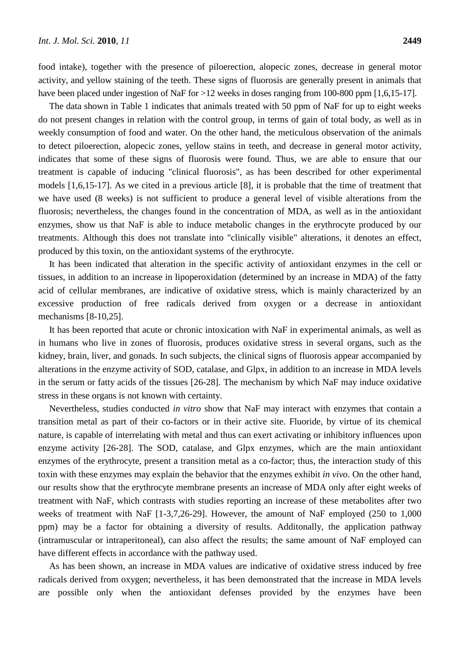food intake), together with the presence of piloerection, alopecic zones, decrease in general motor activity, and yellow staining of the teeth. These signs of fluorosis are generally present in animals that have been placed under ingestion of NaF for >12 weeks in doses ranging from 100-800 ppm [1,6,15-17].

The data shown in Table 1 indicates that animals treated with 50 ppm of NaF for up to eight weeks do not present changes in relation with the control group, in terms of gain of total body, as well as in weekly consumption of food and water. On the other hand, the meticulous observation of the animals to detect piloerection, alopecic zones, yellow stains in teeth, and decrease in general motor activity, indicates that some of these signs of fluorosis were found. Thus, we are able to ensure that our treatment is capable of inducing "clinical fluorosis", as has been described for other experimental models [1,6,15-17]. As we cited in a previous article [8], it is probable that the time of treatment that we have used (8 weeks) is not sufficient to produce a general level of visible alterations from the fluorosis; nevertheless, the changes found in the concentration of MDA, as well as in the antioxidant enzymes, show us that NaF is able to induce metabolic changes in the erythrocyte produced by our treatments. Although this does not translate into "clinically visible" alterations, it denotes an effect, produced by this toxin, on the antioxidant systems of the erythrocyte.

It has been indicated that alteration in the specific activity of antioxidant enzymes in the cell or tissues, in addition to an increase in lipoperoxidation (determined by an increase in MDA) of the fatty acid of cellular membranes, are indicative of oxidative stress, which is mainly characterized by an excessive production of free radicals derived from oxygen or a decrease in antioxidant mechanisms [8-10,25].

It has been reported that acute or chronic intoxication with NaF in experimental animals, as well as in humans who live in zones of fluorosis, produces oxidative stress in several organs, such as the kidney, brain, liver, and gonads. In such subjects, the clinical signs of fluorosis appear accompanied by alterations in the enzyme activity of SOD, catalase, and Glpx, in addition to an increase in MDA levels in the serum or fatty acids of the tissues [26-28]. The mechanism by which NaF may induce oxidative stress in these organs is not known with certainty.

Nevertheless, studies conducted *in vitro* show that NaF may interact with enzymes that contain a transition metal as part of their co-factors or in their active site. Fluoride, by virtue of its chemical nature, is capable of interrelating with metal and thus can exert activating or inhibitory influences upon enzyme activity [26-28]. The SOD, catalase, and Glpx enzymes, which are the main antioxidant enzymes of the erythrocyte, present a transition metal as a co-factor; thus, the interaction study of this toxin with these enzymes may explain the behavior that the enzymes exhibit *in vivo*. On the other hand, our results show that the erythrocyte membrane presents an increase of MDA only after eight weeks of treatment with NaF, which contrasts with studies reporting an increase of these metabolites after two weeks of treatment with NaF [1-3,7,26-29]. However, the amount of NaF employed (250 to 1,000 ppm) may be a factor for obtaining a diversity of results. Additonally, the application pathway (intramuscular or intraperitoneal), can also affect the results; the same amount of NaF employed can have different effects in accordance with the pathway used.

As has been shown, an increase in MDA values are indicative of oxidative stress induced by free radicals derived from oxygen; nevertheless, it has been demonstrated that the increase in MDA levels are possible only when the antioxidant defenses provided by the enzymes have been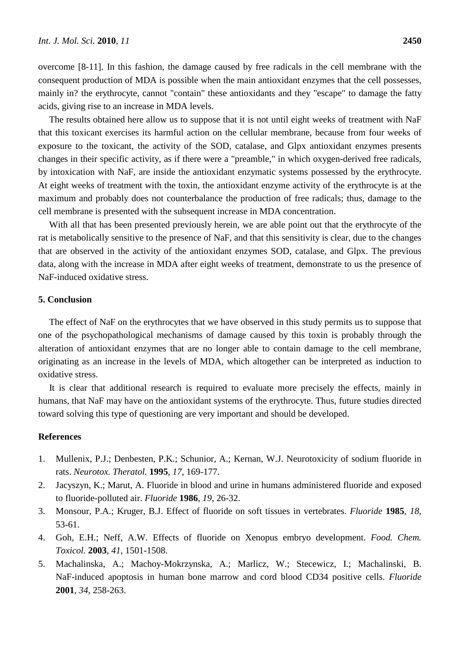overcome [8-11]. In this fashion, the damage caused by free radicals in the cell membrane with the consequent production of MDA is possible when the main antioxidant enzymes that the cell possesses, mainly in? the erythrocyte, cannot "contain" these antioxidants and they "escape" to damage the fatty acids, giving rise to an increase in MDA levels.

The results obtained here allow us to suppose that it is not until eight weeks of treatment with NaF that this toxicant exercises its harmful action on the cellular membrane, because from four weeks of exposure to the toxicant, the activity of the SOD, catalase, and Glpx antioxidant enzymes presents changes in their specific activity, as if there were a "preamble," in which oxygen-derived free radicals, by intoxication with NaF, are inside the antioxidant enzymatic systems possessed by the erythrocyte. At eight weeks of treatment with the toxin, the antioxidant enzyme activity of the erythrocyte is at the maximum and probably does not counterbalance the production of free radicals; thus, damage to the cell membrane is presented with the subsequent increase in MDA concentration.

With all that has been presented previously herein, we are able point out that the erythrocyte of the rat is metabolically sensitive to the presence of NaF, and that this sensitivity is clear, due to the changes that are observed in the activity of the antioxidant enzymes SOD, catalase, and Glpx. The previous data, along with the increase in MDA after eight weeks of treatment, demonstrate to us the presence of NaF-induced oxidative stress.

# **5. Conclusion**

The effect of NaF on the erythrocytes that we have observed in this study permits us to suppose that one of the psychopathological mechanisms of damage caused by this toxin is probably through the alteration of antioxidant enzymes that are no longer able to contain damage to the cell membrane, originating as an increase in the levels of MDA, which altogether can be interpreted as induction to oxidative stress.

It is clear that additional research is required to evaluate more precisely the effects, mainly in humans, that NaF may have on the antioxidant systems of the erythrocyte. Thus, future studies directed toward solving this type of questioning are very important and should be developed.

## **References**

- 1. Mullenix, P.J.; Denbesten, P.K.; Schunior, A.; Kernan, W.J. Neurotoxicity of sodium fluoride in rats. *Neurotox. Theratol.* **1995**, *17*, 169-177.
- 2. Jacyszyn, K.; Marut, A. Fluoride in blood and urine in humans administered fluoride and exposed to fluoride-polluted air. *Fluoride* **1986**, *19*, 26-32.
- 3. Monsour, P.A.; Kruger, B.J. Effect of fluoride on soft tissues in vertebrates. *Fluoride* **1985**, *18*, 53-61.
- 4. Goh, E.H.; Neff, A.W. Effects of fluoride on Xenopus embryo development. *Food. Chem. Toxicol.* **2003**, *41*, 1501-1508.
- 5. Machalinska, A.; Machoy-Mokrzynska, A.; Marlicz, W.; Stecewicz, I.; Machalinski, B. NaF-induced apoptosis in human bone marrow and cord blood CD34 positive cells. *Fluoride* **2001**, *34*, 258-263.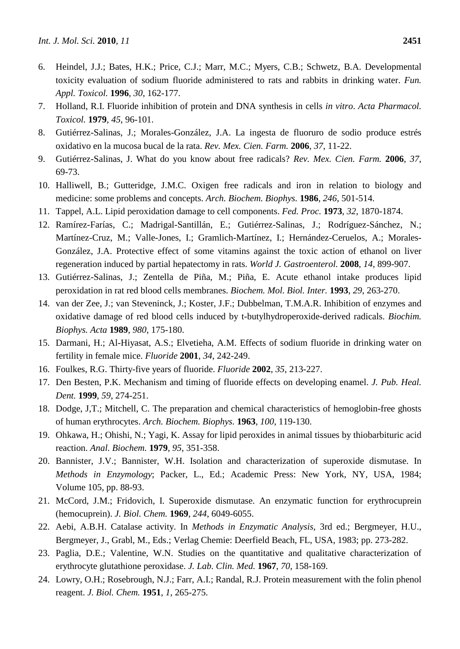- 6. Heindel, J.J.; Bates, H.K.; Price, C.J.; Marr, M.C.; Myers, C.B.; Schwetz, B.A. Developmental toxicity evaluation of sodium fluoride administered to rats and rabbits in drinking water. *Fun. Appl. Toxicol.* **1996**, *30*, 162-177.
- 7. Holland, R.I. Fluoride inhibition of protein and DNA synthesis in cells *in vitro*. *Acta Pharmacol. Toxicol.* **1979**, *45*, 96-101.
- 8. Gutiérrez-Salinas, J.; Morales-González, J.A. La ingesta de fluoruro de sodio produce estrés oxidativo en la mucosa bucal de la rata. *Rev. Mex. Cien. Farm.* **2006**, *37*, 11-22.
- 9. Gutiérrez-Salinas, J. What do you know about free radicals? *Rev. Mex. Cien. Farm.* **2006**, *37*, 69-73.
- 10. Halliwell, B.; Gutteridge, J.M.C. Oxigen free radicals and iron in relation to biology and medicine: some problems and concepts. *Arch. Biochem. Biophys.* **1986**, *246*, 501-514.
- 11. Tappel, A.L. Lipid peroxidation damage to cell components. *Fed. Proc.* **1973**, *32*, 1870-1874.
- 12. Ramírez-Farías, C.; Madrigal-Santillán, E.; Gutiérrez-Salinas, J.; Rodríguez-Sánchez, N.; Martínez-Cruz, M.; Valle-Jones, I.; Gramlich-Martínez, I.; Hernández-Ceruelos, A.; Morales-González, J.A. Protective effect of some vitamins against the toxic action of ethanol on liver regeneration induced by partial hepatectomy in rats. *World J. Gastroenterol.* **2008**, *14*, 899-907.
- 13. Gutiérrez-Salinas, J.; Zentella de Piña, M.; Piña, E. Acute ethanol intake produces lipid peroxidation in rat red blood cells membranes. *Biochem. Mol. Biol. Inter.* **1993**, *29*, 263-270.
- 14. van der Zee, J.; van Steveninck, J.; Koster, J.F.; Dubbelman, T.M.A.R. Inhibition of enzymes and oxidative damage of red blood cells induced by t-butylhydroperoxide-derived radicals. *Biochim. Biophys. Acta* **1989**, *980*, 175-180.
- 15. Darmani, H.; Al-Hiyasat, A.S.; Elvetieha, A.M. Effects of sodium fluoride in drinking water on fertility in female mice. *Fluoride* **2001**, *34*, 242-249.
- 16. Foulkes, R.G. Thirty-five years of fluoride. *Fluoride* **2002**, *35*, 213-227.
- 17. Den Besten, P.K. Mechanism and timing of fluoride effects on developing enamel. *J. Pub. Heal. Dent.* **1999**, *59*, 274-251.
- 18. Dodge, J,T.; Mitchell, C. The preparation and chemical characteristics of hemoglobin-free ghosts of human erythrocytes. *Arch. Biochem. Biophys.* **1963**, *100*, 119-130.
- 19. Ohkawa, H.; Ohishi, N.; Yagi, K. Assay for lipid peroxides in animal tissues by thiobarbituric acid reaction. *Anal. Biochem.* **1979**, *95*, 351-358.
- 20. Bannister, J.V.; Bannister, W.H. Isolation and characterization of superoxide dismutase. In *Methods in Enzymology*; Packer, L., Ed.; Academic Press: New York, NY, USA, 1984; Volume 105, pp. 88-93.
- 21. McCord, J.M.; Fridovich, I. Superoxide dismutase. An enzymatic function for erythrocuprein (hemocuprein). *J. Biol. Chem.* **1969**, *244*, 6049-6055.
- 22. Aebi, A.B.H. Catalase activity. In *Methods in Enzymatic Analysis*, 3rd ed.; Bergmeyer, H.U., Bergmeyer, J., Grabl, M., Eds.; Verlag Chemie: Deerfield Beach, FL, USA, 1983; pp. 273-282.
- 23. Paglia, D.E.; Valentine, W.N. Studies on the quantitative and qualitative characterization of erythrocyte glutathione peroxidase. *J. Lab. Clin. Med.* **1967**, *70*, 158-169.
- 24. Lowry, O.H.; Rosebrough, N.J.; Farr, A.I.; Randal, R.J. Protein measurement with the folin phenol reagent. *J. Biol. Chem.* **1951**, *1*, 265-275.